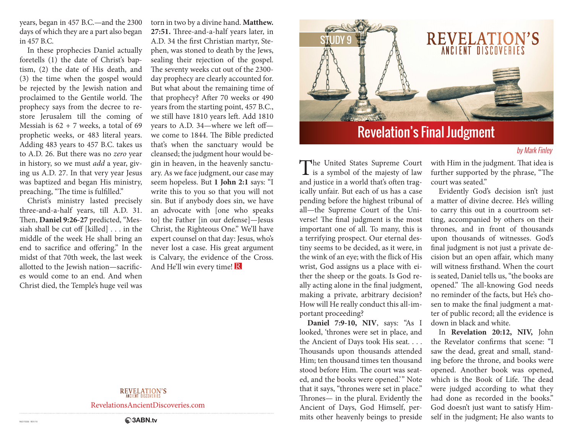years, began in 457 B.C.—and the 2300 days of which they are a part also began in 457 B.C.

In these prophecies Daniel actually foretells (1) the date of Christ's baptism, (2) the date of His death, and (3) the time when the gospel would be rejected by the Jewish nation and proclaimed to the Gentile world. The prophecy says from the decree to restore Jerusalem till the coming of Messiah is  $62 + 7$  weeks, a total of  $69$ prophetic weeks, or 483 literal years. Adding 483 years to 457 B.C. takes us to A.D. 26. But there was no *zero* year in history, so we must *add* a year, giving us A.D. 27. In that very year Jesus was baptized and began His ministry, preaching, "The time is fulfilled."

Christ's ministry lasted precisely three-and-a-half years, till A.D. 31. Then, **Daniel 9:26-27** predicted, "Messiah shall be cut off [killed] . . . in the middle of the week He shall bring an end to sacrifice and offering." In the midst of that 70th week, the last week allotted to the Jewish nation—sacrifices would come to an end. And when Christ died, the Temple's huge veil was

torn in two by a divine hand. **Matthew. 27:51.** Three-and-a-half years later, in A.D. 34 the first Christian martyr, Stephen, was stoned to death by the Jews, sealing their rejection of the gospel. The seventy weeks cut out of the 2300 day prophecy are clearly accounted for. But what about the remaining time of that prophecy? After 70 weeks or 490 years from the starting point, 457 B.C., we still have 1810 years left. Add 1810 years to A.D. 34—where we left off we come to 1844. The Bible predicted that's when the sanctuary would be cleansed; the judgment hour would begin in heaven, in the heavenly sanctuary. As we face judgment, our case may seem hopeless. But **1 John 2:1** says: "I write this to you so that you will not sin. But if anybody does sin, we have an advocate with [one who speaks to] the Father [in our defense]—Jesus Christ, the Righteous One." We'll have expert counsel on that day: Jesus, who's never lost a case. His great argument is Calvary, the evidence of the Cross. And He'll win every time! R

### **REVELATION'S**

RevelationsAncientDiscoveries.com



# Revelation's Final Judgment

### by Mark Finley

The United States Supreme Court<br>is a symbol of the majesty of law and justice in a world that's often tragically unfair. But each of us has a case pending before the highest tribunal of all—the Supreme Court of the Universe! The final judgment is the most important one of all. To many, this is a terrifying prospect. Our eternal destiny seems to be decided, as it were, in the wink of an eye; with the flick of His wrist, God assigns us a place with either the sheep or the goats. Is God really acting alone in the final judgment, making a private, arbitrary decision? How will He really conduct this all-important proceeding?

**Daniel 7:9-10, NIV**, says: "As I looked, 'thrones were set in place, and the Ancient of Days took His seat. . . . Thousands upon thousands attended Him; ten thousand times ten thousand stood before Him. The court was seated, and the books were opened." Note that it says, "thrones were set in place." Thrones— in the plural. Evidently the Ancient of Days, God Himself, permits other heavenly beings to preside with Him in the judgment. That idea is further supported by the phrase, "The court was seated."

Evidently God's decision isn't just a matter of divine decree. He's willing to carry this out in a courtroom setting, accompanied by others on their thrones, and in front of thousands upon thousands of witnesses. God's final judgment is not just a private decision but an open affair, which many will witness firsthand. When the court is seated, Daniel tells us, "the books are opened." The all-knowing God needs no reminder of the facts, but He's chosen to make the final judgment a matter of public record; all the evidence is down in black and white.

In **Revelation 20:12, NIV,** John the Revelator confirms that scene: "I saw the dead, great and small, standing before the throne, and books were opened. Another book was opened, which is the Book of Life. The dead were judged according to what they had done as recorded in the books." God doesn't just want to satisfy Himself in the judgment; He also wants to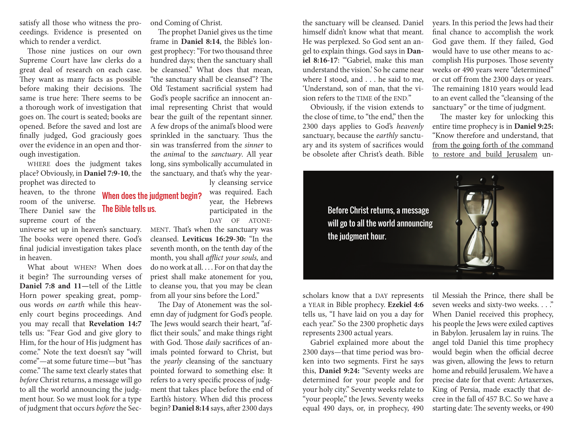satisfy all those who witness the proceedings. Evidence is presented on which to render a verdict.

Those nine justices on our own Supreme Court have law clerks do a great deal of research on each case. They want as many facts as possible before making their decisions. The same is true here: There seems to be a thorough work of investigation that goes on. The court is seated; books are opened. Before the saved and lost are finally judged, God graciously goes over the evidence in an open and thorough investigation.

WHERE does the judgment takes place? Obviously, in **Daniel 7:9-10**, the prophet was directed to

heaven, to the throne room of the universe. There Daniel saw the The Bible tells us. supreme court of the

universe set up in heaven's sanctuary. The books were opened there. God's final judicial investigation takes place in heaven.

What about WHEN? When does it begin? The surrounding verses of **Daniel 7:8 and 11—**tell of the Little Horn power speaking great, pompous words *on earth* while this heavenly court begins proceedings. And you may recall that **Revelation 14:7** tells us: "Fear God and give glory to Him, for the hour of His judgment has come." Note the text doesn't say "will come"—at some future time—but "has come." The same text clearly states that *before* Christ returns, a message will go to all the world announcing the judgment hour. So we must look for a type of judgment that occurs *before* the Second Coming of Christ.

When does the judgment begin?

The prophet Daniel gives us the time frame in **Daniel 8:14**, the Bible's longest prophecy: "For two thousand three hundred days; then the sanctuary shall be cleansed." What does that mean, "the sanctuary shall be cleansed"? The Old Testament sacrificial system had God's people sacrifice an innocent animal representing Christ that would bear the guilt of the repentant sinner. A few drops of the animal's blood were sprinkled in the sanctuary. Thus the sin was transferred from the *sinner* to the *animal* to the *sanctuary*. All year long, sins symbolically accumulated in the sanctuary, and that's why the year-

ly cleansing service was required. Each year, the Hebrews participated in the DAY OF ATONE-

MENT. That's when the sanctuary was cleansed. **Leviticus 16:29-30:** "In the seventh month, on the tenth day of the month, you shall *afflict your souls,* and do no work at all. . . . For on that day the priest shall make atonement for you, to cleanse you, that you may be clean from all your sins before the Lord."

The Day of Atonement was the solemn day of judgment for God's people. The Jews would search their heart, "afflict their souls," and make things right with God. Those *daily* sacrifices of animals pointed forward to Christ, but the *yearly* cleansing of the sanctuary pointed forward to something else: It refers to a very specific process of judgment that takes place before the end of Earth's history. When did this process begin? **Daniel 8:14** says, after 2300 days

the sanctuary will be cleansed. Daniel himself didn't know what that meant. He was perplexed. So God sent an angel to explain things. God says in **Daniel 8:16-17:** "Gabriel, make this man understand the vision.' So he came near where I stood, and . . . he said to me, 'Understand, son of man, that the vision refers to the TIME of the END."

Obviously, if the vision extends to the close of time, to "the end," then the 2300 days applies to God's *heavenly*  sanctuary, because the *earthly* sanctuary and its system of sacrifices would be obsolete after Christ's death. Bible years. In this period the Jews had their final chance to accomplish the work God gave them. If they failed, God would have to use other means to accomplish His purposes. Those seventy weeks or 490 years were "determined" or cut off from the 2300 days or years. The remaining 1810 years would lead to an event called the "cleansing of the sanctuary" or the time of judgment.

The master key for unlocking this entire time prophecy is in **Daniel 9:25:** "Know therefore and understand, that from the going forth of the command to restore and build Jerusalem un-

scholars know that a DAY represents a YEAR in Bible prophecy. **Ezekiel 4:6** tells us, "I have laid on you a day for each year." So the 2300 prophetic days represents 2300 actual years.

Gabriel explained more about the 2300 days—that time period was broken into two segments. First he says this, **Daniel 9:24:** "Seventy weeks are determined for your people and for your holy city." Seventy weeks relate to "your people," the Jews. Seventy weeks equal 490 days, or, in prophecy, 490

til Messiah the Prince, there shall be seven weeks and sixty-two weeks. . . ." When Daniel received this prophecy, his people the Jews were exiled captives in Babylon. Jerusalem lay in ruins. The angel told Daniel this time prophecy would begin when the official decree was given, allowing the Jews to return home and rebuild Jerusalem. We have a precise date for that event: Artaxerxes, King of Persia, made exactly that decree in the fall of 457 B.C. So we have a starting date: The seventy weeks, or 490